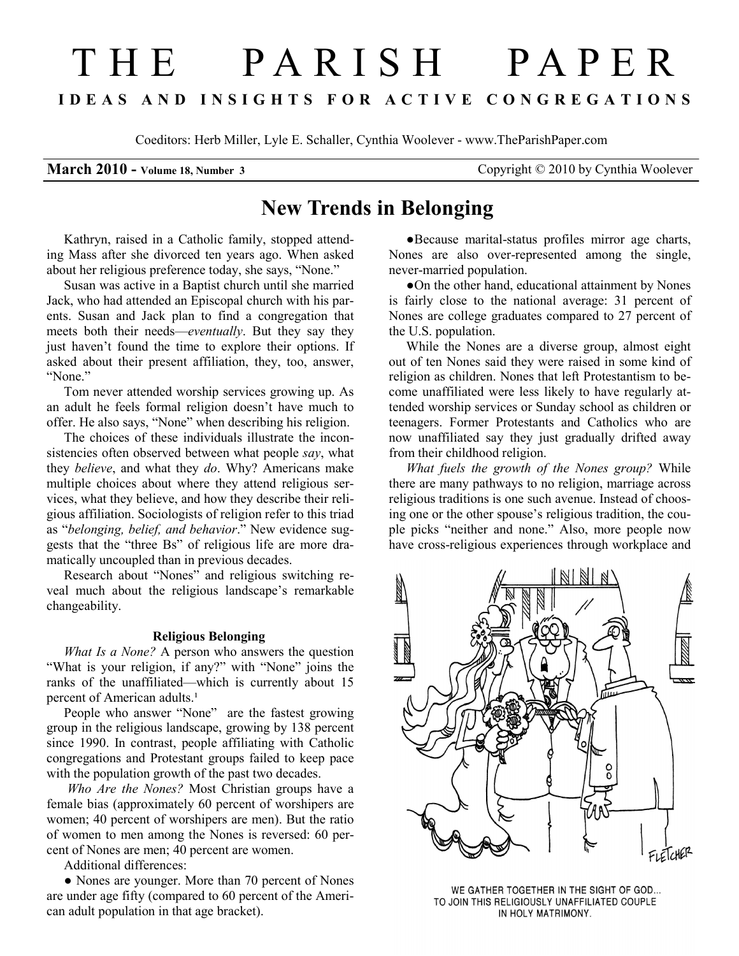# THE PARISH PAPER I D E A S A N D I N S I G H T S F O R A C T I V E C O N G R E G A T I O N S

Coeditors: Herb Miller, Lyle E. Schaller, Cynthia Woolever - www.TheParishPaper.com

March 2010 - Volume 18, Number 3 Copyright © 2010 by Cynthia Woolever

## New Trends in Belonging

Kathryn, raised in a Catholic family, stopped attending Mass after she divorced ten years ago. When asked about her religious preference today, she says, "None."

Susan was active in a Baptist church until she married Jack, who had attended an Episcopal church with his parents. Susan and Jack plan to find a congregation that meets both their needs—eventually. But they say they just haven't found the time to explore their options. If asked about their present affiliation, they, too, answer, "None"

Tom never attended worship services growing up. As an adult he feels formal religion doesn't have much to offer. He also says, "None" when describing his religion.

The choices of these individuals illustrate the inconsistencies often observed between what people say, what they *believe*, and what they *do*. Why? Americans make multiple choices about where they attend religious services, what they believe, and how they describe their religious affiliation. Sociologists of religion refer to this triad as "belonging, belief, and behavior." New evidence suggests that the "three Bs" of religious life are more dramatically uncoupled than in previous decades.

Research about "Nones" and religious switching reveal much about the religious landscape's remarkable changeability.

### Religious Belonging

What Is a None? A person who answers the question "What is your religion, if any?" with "None" joins the ranks of the unaffiliated—which is currently about 15 percent of American adults.<sup>1</sup>

People who answer "None" are the fastest growing group in the religious landscape, growing by 138 percent since 1990. In contrast, people affiliating with Catholic congregations and Protestant groups failed to keep pace with the population growth of the past two decades.

Who Are the Nones? Most Christian groups have a female bias (approximately 60 percent of worshipers are women; 40 percent of worshipers are men). But the ratio of women to men among the Nones is reversed: 60 percent of Nones are men; 40 percent are women.

Additional differences:

• Nones are younger. More than 70 percent of Nones are under age fifty (compared to 60 percent of the American adult population in that age bracket).

●Because marital-status profiles mirror age charts, Nones are also over-represented among the single, never-married population.

●On the other hand, educational attainment by Nones is fairly close to the national average: 31 percent of Nones are college graduates compared to 27 percent of the U.S. population.

While the Nones are a diverse group, almost eight out of ten Nones said they were raised in some kind of religion as children. Nones that left Protestantism to become unaffiliated were less likely to have regularly attended worship services or Sunday school as children or teenagers. Former Protestants and Catholics who are now unaffiliated say they just gradually drifted away from their childhood religion.

What fuels the growth of the Nones group? While there are many pathways to no religion, marriage across religious traditions is one such avenue. Instead of choosing one or the other spouse's religious tradition, the couple picks "neither and none." Also, more people now have cross-religious experiences through workplace and



WE GATHER TOGETHER IN THE SIGHT OF GOD... TO JOIN THIS RELIGIOUSLY UNAFFILIATED COUPLE IN HOLY MATRIMONY.